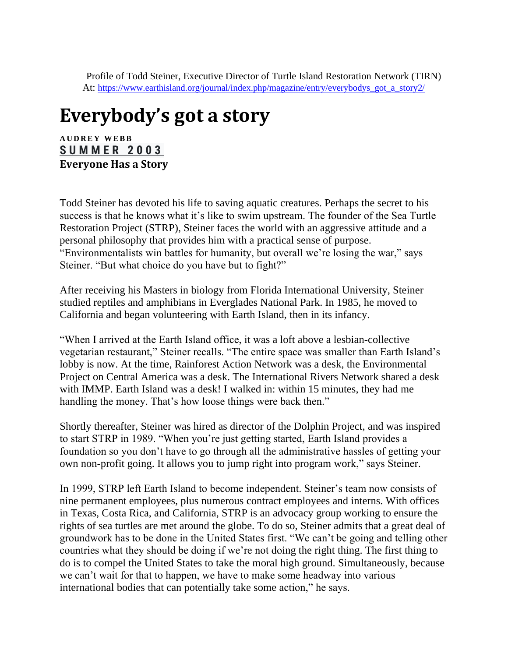Profile of Todd Steiner, Executive Director of Turtle Island Restoration Network (TIRN) At: [https://www.earthisland.org/journal/index.php/magazine/entry/everybodys\\_got\\_a\\_story2/](https://www.earthisland.org/journal/index.php/magazine/entry/everybodys_got_a_story2/)

## **Everybody's got a story**

**A U D R E Y W E B B [S U M M E R 2 0 0 3](https://www.earthisland.org/journal/index.php/magazine/issue/summer_2003) Everyone Has a Story**

Todd Steiner has devoted his life to saving aquatic creatures. Perhaps the secret to his success is that he knows what it's like to swim upstream. The founder of the Sea Turtle Restoration Project (STRP), Steiner faces the world with an aggressive attitude and a personal philosophy that provides him with a practical sense of purpose. "Environmentalists win battles for humanity, but overall we're losing the war," says Steiner. "But what choice do you have but to fight?"

After receiving his Masters in biology from Florida International University, Steiner studied reptiles and amphibians in Everglades National Park. In 1985, he moved to California and began volunteering with Earth Island, then in its infancy.

"When I arrived at the Earth Island office, it was a loft above a lesbian-collective vegetarian restaurant," Steiner recalls. "The entire space was smaller than Earth Island's lobby is now. At the time, Rainforest Action Network was a desk, the Environmental Project on Central America was a desk. The International Rivers Network shared a desk with IMMP. Earth Island was a desk! I walked in: within 15 minutes, they had me handling the money. That's how loose things were back then."

Shortly thereafter, Steiner was hired as director of the Dolphin Project, and was inspired to start STRP in 1989. "When you're just getting started, Earth Island provides a foundation so you don't have to go through all the administrative hassles of getting your own non-profit going. It allows you to jump right into program work," says Steiner.

In 1999, STRP left Earth Island to become independent. Steiner's team now consists of nine permanent employees, plus numerous contract employees and interns. With offices in Texas, Costa Rica, and California, STRP is an advocacy group working to ensure the rights of sea turtles are met around the globe. To do so, Steiner admits that a great deal of groundwork has to be done in the United States first. "We can't be going and telling other countries what they should be doing if we're not doing the right thing. The first thing to do is to compel the United States to take the moral high ground. Simultaneously, because we can't wait for that to happen, we have to make some headway into various international bodies that can potentially take some action," he says.